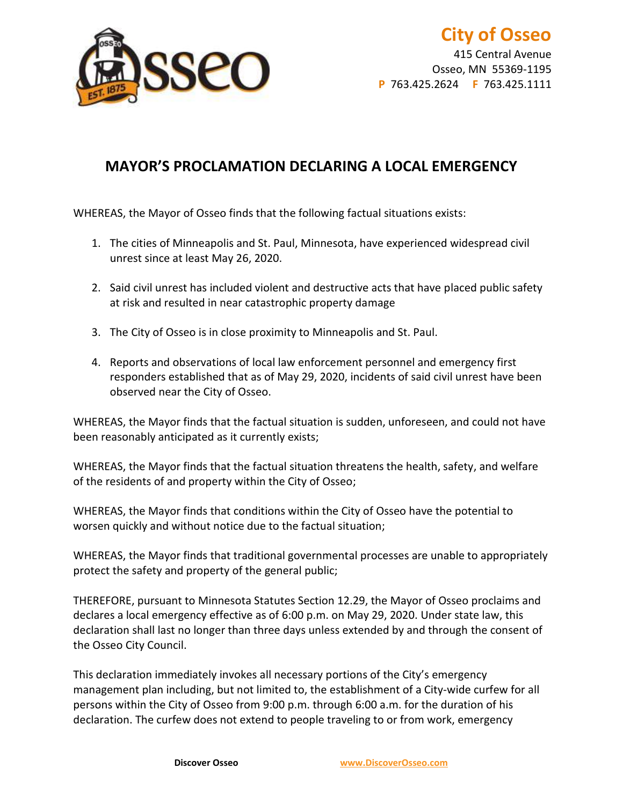

415 Central Avenue Osseo, MN 55369-1195 **P** 763.425.2624 **F** 763.425.1111

## **MAYOR'S PROCLAMATION DECLARING A LOCAL EMERGENCY**

WHEREAS, the Mayor of Osseo finds that the following factual situations exists:

- 1. The cities of Minneapolis and St. Paul, Minnesota, have experienced widespread civil unrest since at least May 26, 2020.
- 2. Said civil unrest has included violent and destructive acts that have placed public safety at risk and resulted in near catastrophic property damage
- 3. The City of Osseo is in close proximity to Minneapolis and St. Paul.
- 4. Reports and observations of local law enforcement personnel and emergency first responders established that as of May 29, 2020, incidents of said civil unrest have been observed near the City of Osseo.

WHEREAS, the Mayor finds that the factual situation is sudden, unforeseen, and could not have been reasonably anticipated as it currently exists;

WHEREAS, the Mayor finds that the factual situation threatens the health, safety, and welfare of the residents of and property within the City of Osseo;

WHEREAS, the Mayor finds that conditions within the City of Osseo have the potential to worsen quickly and without notice due to the factual situation;

WHEREAS, the Mayor finds that traditional governmental processes are unable to appropriately protect the safety and property of the general public;

THEREFORE, pursuant to Minnesota Statutes Section 12.29, the Mayor of Osseo proclaims and declares a local emergency effective as of 6:00 p.m. on May 29, 2020. Under state law, this declaration shall last no longer than three days unless extended by and through the consent of the Osseo City Council.

This declaration immediately invokes all necessary portions of the City's emergency management plan including, but not limited to, the establishment of a City-wide curfew for all persons within the City of Osseo from 9:00 p.m. through 6:00 a.m. for the duration of his declaration. The curfew does not extend to people traveling to or from work, emergency